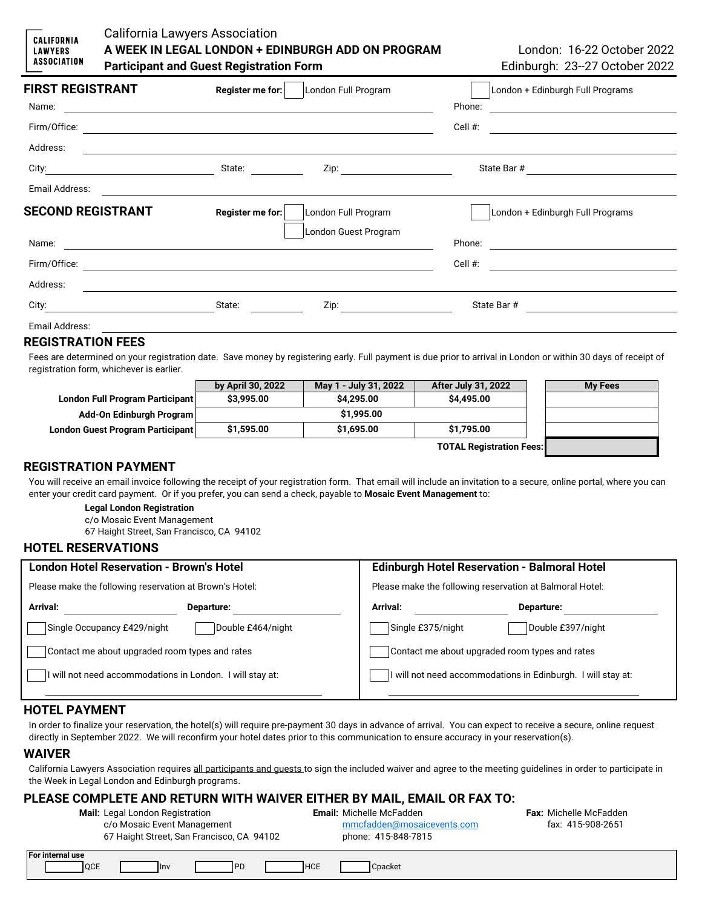### California Lawyers Association **A WEEK IN LEGAL LONDON + EDINBURGH ADD ON PROGRAM** London: 16-22 October 2022 **Participant and Guest Registration Form Edinburgh: 23--27 October 2022**

| <b>FIRST REGISTRANT</b>  | Register me for:                                   | London Full Program  | London + Edinburgh Full Programs                                                                                               |
|--------------------------|----------------------------------------------------|----------------------|--------------------------------------------------------------------------------------------------------------------------------|
| Name:                    |                                                    |                      | Phone:<br><u> 1980 - Andrea Barbara, poeta esperanto-poeta esperanto-poeta esperanto-poeta esperanto-poeta esperanto-poeta</u> |
| Firm/Office:             |                                                    |                      | Cell #:<br><u> 1989 - Johann Stein, mars an deutscher Stein († 1958)</u>                                                       |
| Address:                 |                                                    |                      |                                                                                                                                |
|                          | State:                                             |                      | State Bar # 2008 2014                                                                                                          |
| Email Address:           |                                                    |                      |                                                                                                                                |
| <b>SECOND REGISTRANT</b> | Register me for:                                   | London Full Program  | London + Edinburgh Full Programs                                                                                               |
|                          |                                                    | London Guest Program |                                                                                                                                |
| Name:                    |                                                    |                      |                                                                                                                                |
| Firm/Office:             | <u> 1980 - John Stein, Amerikaansk politiker (</u> |                      | Cell #:<br><u> 1989 - Johann Stein, fransk politik (</u>                                                                       |
| Address:                 |                                                    |                      |                                                                                                                                |
| City:                    | State:                                             |                      | State Bar #                                                                                                                    |
| Email Address:           |                                                    |                      |                                                                                                                                |
| REAIATRATIAN FEEA        |                                                    |                      |                                                                                                                                |

### **REGISTRATION FEES**

**CALIFORNIA LAWYERS ASSOCIATION** 

Fees are determined on your registration date. Save money by registering early. Full payment is due prior to arrival in London or within 30 days of receipt of registration form, whichever is earlier.

|                                  | by April 30, 2022 | May 1 - July 31, 2022 | <b>After July 31, 2022</b>      | <b>My Fees</b> |
|----------------------------------|-------------------|-----------------------|---------------------------------|----------------|
| London Full Program Participant  | \$3,995.00        | \$4,295.00            | \$4,495.00                      |                |
| Add-On Edinburgh Program         |                   | \$1,995.00            |                                 |                |
| London Guest Program Participant | \$1,595.00        | \$1,695.00            | \$1,795.00                      |                |
|                                  |                   |                       | <b>TOTAL Registration Fees:</b> |                |

### **REGISTRATION PAYMENT**

You will receive an email invoice following the receipt of your registration form. That email will include an invitation to a secure, online portal, where you can enter your credit card payment. Or if you prefer, you can send a check, payable to **Mosaic Event Management** to:

#### **Legal London Registration**

c/o Mosaic Event Management

67 Haight Street, San Francisco, CA 94102

#### **HOTEL RESERVATIONS**

| <b>London Hotel Reservation - Brown's Hotel</b><br>Please make the following reservation at Brown's Hotel: |                   | Edinburgh Hotel Reservation - Balmoral Hotel<br>Please make the following reservation at Balmoral Hotel: |                                                              |  |
|------------------------------------------------------------------------------------------------------------|-------------------|----------------------------------------------------------------------------------------------------------|--------------------------------------------------------------|--|
|                                                                                                            |                   |                                                                                                          |                                                              |  |
| Single Occupancy £429/night                                                                                | Double £464/night | Single £375/night                                                                                        | Double £397/night                                            |  |
| Contact me about upgraded room types and rates                                                             |                   | Contact me about upgraded room types and rates                                                           |                                                              |  |
| will not need accommodations in London. I will stay at:                                                    |                   |                                                                                                          | I will not need accommodations in Edinburgh. I will stay at: |  |
|                                                                                                            |                   |                                                                                                          |                                                              |  |

#### **HOTEL PAYMENT**

In order to finalize your reservation, the hotel(s) will require pre-payment 30 days in advance of arrival. You can expect to receive a secure, online request directly in September 2022. We will reconfirm your hotel dates prior to this communication to ensure accuracy in your reservation(s).

#### **WAIVER**

California Lawyers Association requires all participants and guests to sign the included waiver and agree to the meeting guidelines in order to participate in the Week in Legal London and Edinburgh programs.

# **PLEASE COMPLETE AND RETURN WITH WAIVER EITHER BY MAIL, EMAIL OR FAX TO:**<br>Mail: Legal London Registration **Example Benail: Michelle McFadden**

| <b>Mail:</b> Legal London Registration |
|----------------------------------------|
|                                        |

| c/o Mosaic Event Management               | mmcfadden@mosaicevents.com |
|-------------------------------------------|----------------------------|
| 67 Haight Street, San Francisco, CA 94102 | phone: 415-848-7815        |
|                                           |                            |

**Fax:** Michelle McFadden fax: 415-908-2651

| l For in | 'nternal use |             |            |                |         |  |
|----------|--------------|-------------|------------|----------------|---------|--|
|          | <b>OCE</b>   | <b>Ilny</b> | $-$<br>. . | 1110F<br>INUE. | Cpacket |  |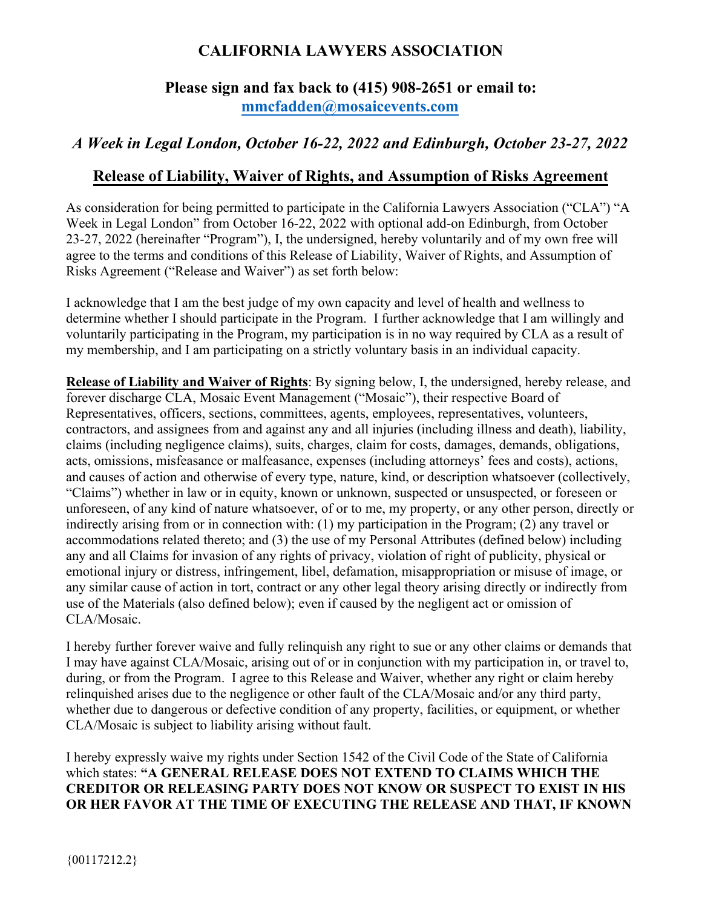# **CALIFORNIA LAWYERS ASSOCIATION**

# **Please sign and fax back to (415) 908-2651 or email to: [mmcfadden@mosaicevents.com](mailto:mmcfadden@mosaicevents.com)**

# *A Week in Legal London, October 16-22, 2022 and Edinburgh, October 23-27, 2022*

# **Release of Liability, Waiver of Rights, and Assumption of Risks Agreement**

As consideration for being permitted to participate in the California Lawyers Association ("CLA") "A Week in Legal London" from October 16-22, 2022 with optional add-on Edinburgh, from October 23-27, 2022 (hereinafter "Program"), I, the undersigned, hereby voluntarily and of my own free will agree to the terms and conditions of this Release of Liability, Waiver of Rights, and Assumption of Risks Agreement ("Release and Waiver") as set forth below:

I acknowledge that I am the best judge of my own capacity and level of health and wellness to determine whether I should participate in the Program. I further acknowledge that I am willingly and voluntarily participating in the Program, my participation is in no way required by CLA as a result of my membership, and I am participating on a strictly voluntary basis in an individual capacity.

**Release of Liability and Waiver of Rights**: By signing below, I, the undersigned, hereby release, and forever discharge CLA, Mosaic Event Management ("Mosaic"), their respective Board of Representatives, officers, sections, committees, agents, employees, representatives, volunteers, contractors, and assignees from and against any and all injuries (including illness and death), liability, claims (including negligence claims), suits, charges, claim for costs, damages, demands, obligations, acts, omissions, misfeasance or malfeasance, expenses (including attorneys' fees and costs), actions, and causes of action and otherwise of every type, nature, kind, or description whatsoever (collectively, "Claims") whether in law or in equity, known or unknown, suspected or unsuspected, or foreseen or unforeseen, of any kind of nature whatsoever, of or to me, my property, or any other person, directly or indirectly arising from or in connection with: (1) my participation in the Program; (2) any travel or accommodations related thereto; and (3) the use of my Personal Attributes (defined below) including any and all Claims for invasion of any rights of privacy, violation of right of publicity, physical or emotional injury or distress, infringement, libel, defamation, misappropriation or misuse of image, or any similar cause of action in tort, contract or any other legal theory arising directly or indirectly from use of the Materials (also defined below); even if caused by the negligent act or omission of CLA/Mosaic.

I hereby further forever waive and fully relinquish any right to sue or any other claims or demands that I may have against CLA/Mosaic, arising out of or in conjunction with my participation in, or travel to, during, or from the Program. I agree to this Release and Waiver, whether any right or claim hereby relinquished arises due to the negligence or other fault of the CLA/Mosaic and/or any third party, whether due to dangerous or defective condition of any property, facilities, or equipment, or whether CLA/Mosaic is subject to liability arising without fault.

I hereby expressly waive my rights under Section 1542 of the Civil Code of the State of California which states: **"A GENERAL RELEASE DOES NOT EXTEND TO CLAIMS WHICH THE CREDITOR OR RELEASING PARTY DOES NOT KNOW OR SUSPECT TO EXIST IN HIS OR HER FAVOR AT THE TIME OF EXECUTING THE RELEASE AND THAT, IF KNOWN**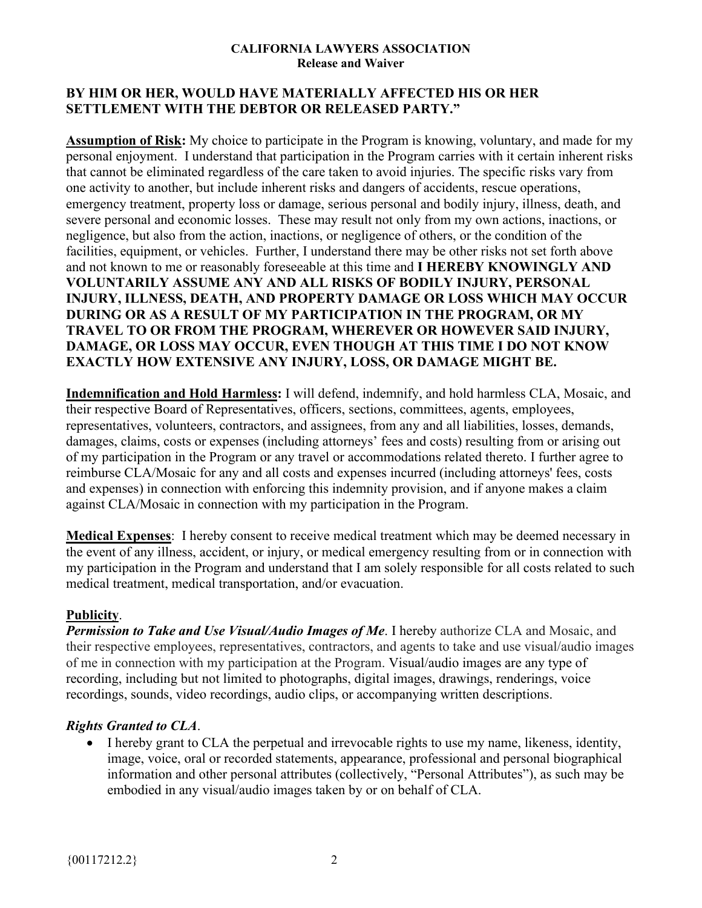### **CALIFORNIA LAWYERS ASSOCIATION Release and Waiver**

## **BY HIM OR HER, WOULD HAVE MATERIALLY AFFECTED HIS OR HER SETTLEMENT WITH THE DEBTOR OR RELEASED PARTY."**

**Assumption of Risk:** My choice to participate in the Program is knowing, voluntary, and made for my personal enjoyment. I understand that participation in the Program carries with it certain inherent risks that cannot be eliminated regardless of the care taken to avoid injuries. The specific risks vary from one activity to another, but include inherent risks and dangers of accidents, rescue operations, emergency treatment, property loss or damage, serious personal and bodily injury, illness, death, and severe personal and economic losses. These may result not only from my own actions, inactions, or negligence, but also from the action, inactions, or negligence of others, or the condition of the facilities, equipment, or vehicles. Further, I understand there may be other risks not set forth above and not known to me or reasonably foreseeable at this time and **I HEREBY KNOWINGLY AND VOLUNTARILY ASSUME ANY AND ALL RISKS OF BODILY INJURY, PERSONAL INJURY, ILLNESS, DEATH, AND PROPERTY DAMAGE OR LOSS WHICH MAY OCCUR DURING OR AS A RESULT OF MY PARTICIPATION IN THE PROGRAM, OR MY TRAVEL TO OR FROM THE PROGRAM, WHEREVER OR HOWEVER SAID INJURY, DAMAGE, OR LOSS MAY OCCUR, EVEN THOUGH AT THIS TIME I DO NOT KNOW EXACTLY HOW EXTENSIVE ANY INJURY, LOSS, OR DAMAGE MIGHT BE.**

**Indemnification and Hold Harmless:** I will defend, indemnify, and hold harmless CLA, Mosaic, and their respective Board of Representatives, officers, sections, committees, agents, employees, representatives, volunteers, contractors, and assignees, from any and all liabilities, losses, demands, damages, claims, costs or expenses (including attorneys' fees and costs) resulting from or arising out of my participation in the Program or any travel or accommodations related thereto. I further agree to reimburse CLA/Mosaic for any and all costs and expenses incurred (including attorneys' fees, costs and expenses) in connection with enforcing this indemnity provision, and if anyone makes a claim against CLA/Mosaic in connection with my participation in the Program.

**Medical Expenses**: I hereby consent to receive medical treatment which may be deemed necessary in the event of any illness, accident, or injury, or medical emergency resulting from or in connection with my participation in the Program and understand that I am solely responsible for all costs related to such medical treatment, medical transportation, and/or evacuation.

### **Publicity**.

*Permission to Take and Use Visual/Audio Images of Me*. I hereby authorize CLA and Mosaic, and their respective employees, representatives, contractors, and agents to take and use visual/audio images of me in connection with my participation at the Program. Visual/audio images are any type of recording, including but not limited to photographs, digital images, drawings, renderings, voice recordings, sounds, video recordings, audio clips, or accompanying written descriptions.

# *Rights Granted to CLA*.

• I hereby grant to CLA the perpetual and irrevocable rights to use my name, likeness, identity, image, voice, oral or recorded statements, appearance, professional and personal biographical information and other personal attributes (collectively, "Personal Attributes"), as such may be embodied in any visual/audio images taken by or on behalf of CLA.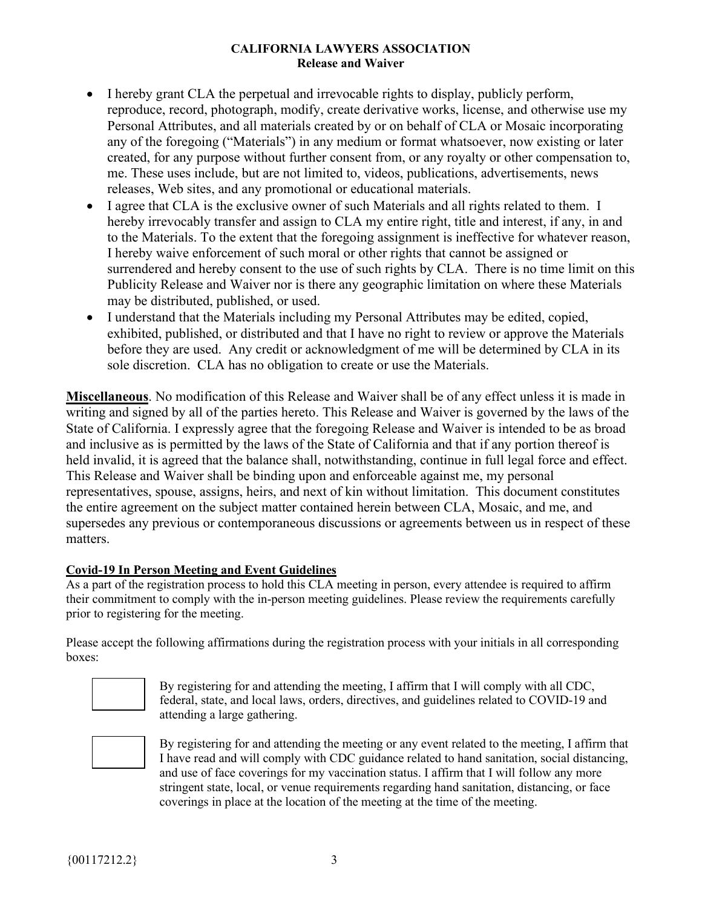### **CALIFORNIA LAWYERS ASSOCIATION Release and Waiver**

- I hereby grant CLA the perpetual and irrevocable rights to display, publicly perform, reproduce, record, photograph, modify, create derivative works, license, and otherwise use my Personal Attributes, and all materials created by or on behalf of CLA or Mosaic incorporating any of the foregoing ("Materials") in any medium or format whatsoever, now existing or later created, for any purpose without further consent from, or any royalty or other compensation to, me. These uses include, but are not limited to, videos, publications, advertisements, news releases, Web sites, and any promotional or educational materials.
- I agree that CLA is the exclusive owner of such Materials and all rights related to them. I hereby irrevocably transfer and assign to CLA my entire right, title and interest, if any, in and to the Materials. To the extent that the foregoing assignment is ineffective for whatever reason, I hereby waive enforcement of such moral or other rights that cannot be assigned or surrendered and hereby consent to the use of such rights by CLA. There is no time limit on this Publicity Release and Waiver nor is there any geographic limitation on where these Materials may be distributed, published, or used.
- I understand that the Materials including my Personal Attributes may be edited, copied, exhibited, published, or distributed and that I have no right to review or approve the Materials before they are used. Any credit or acknowledgment of me will be determined by CLA in its sole discretion. CLA has no obligation to create or use the Materials.

**Miscellaneous**. No modification of this Release and Waiver shall be of any effect unless it is made in writing and signed by all of the parties hereto. This Release and Waiver is governed by the laws of the State of California. I expressly agree that the foregoing Release and Waiver is intended to be as broad and inclusive as is permitted by the laws of the State of California and that if any portion thereof is held invalid, it is agreed that the balance shall, notwithstanding, continue in full legal force and effect. This Release and Waiver shall be binding upon and enforceable against me, my personal representatives, spouse, assigns, heirs, and next of kin without limitation. This document constitutes the entire agreement on the subject matter contained herein between CLA, Mosaic, and me, and supersedes any previous or contemporaneous discussions or agreements between us in respect of these matters.

### **Covid-19 In Person Meeting and Event Guidelines**

As a part of the registration process to hold this CLA meeting in person, every attendee is required to affirm their commitment to comply with the in-person meeting guidelines. Please review the requirements carefully prior to registering for the meeting.

Please accept the following affirmations during the registration process with your initials in all corresponding boxes:



By registering for and attending the meeting, I affirm that I will comply with all CDC, federal, state, and local laws, orders, directives, and guidelines related to COVID-19 and attending a large gathering.



By registering for and attending the meeting or any event related to the meeting, I affirm that I have read and will comply with CDC guidance related to hand sanitation, social distancing, and use of face coverings for my vaccination status. I affirm that I will follow any more stringent state, local, or venue requirements regarding hand sanitation, distancing, or face coverings in place at the location of the meeting at the time of the meeting.